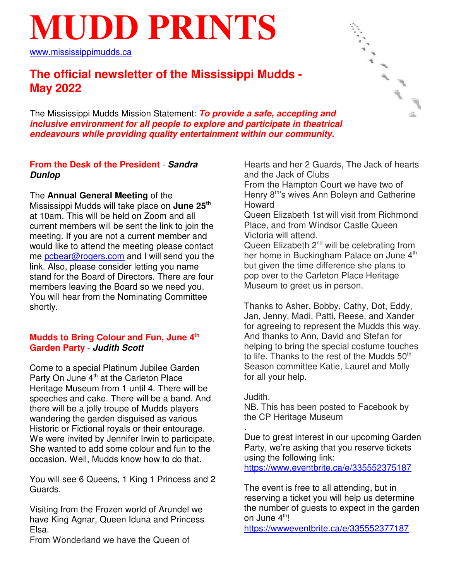# **MUDD PRINTS**

www.mississippimudds.ca

# **The official newsletter of the Mississippi Mudds - May 2022**

The Mississippi Mudds Mission Statement: **To provide a safe, accepting and inclusive environment for all people to explore and participate in theatrical endeavours while providing quality entertainment within our community.**

#### **From the Desk of the President** - **Sandra Dunlop**

The **Annual General Meeting** of the Mississippi Mudds will take place on **June 25th** at 10am. This will be held on Zoom and all current members will be sent the link to join the meeting. If you are not a current member and would like to attend the meeting please contact me **pcbear@rogers.com** and I will send you the link. Also, please consider letting you name stand for the Board of Directors. There are four members leaving the Board so we need you. You will hear from the Nominating Committee shortly.

#### **Mudds to Bring Colour and Fun, June 4th Garden Party** - **Judith Scott**

Come to a special Platinum Jubilee Garden Party On June 4<sup>th</sup> at the Carleton Place Heritage Museum from 1 until 4. There will be speeches and cake. There will be a band. And there will be a jolly troupe of Mudds players wandering the garden disguised as various Historic or Fictional royals or their entourage. We were invited by Jennifer Irwin to participate. She wanted to add some colour and fun to the occasion. Well, Mudds know how to do that.

You will see 6 Queens, 1 King 1 Princess and 2 Guards.

Visiting from the Frozen world of Arundel we have King Agnar, Queen Iduna and Princess Elsa.

From Wonderland we have the Queen of

Hearts and her 2 Guards, The Jack of hearts and the Jack of Clubs

From the Hampton Court we have two of Henry 8<sup>th'</sup>s wives Ann Boleyn and Catherine Howard

Queen Elizabeth 1st will visit from Richmond Place, and from Windsor Castle Queen Victoria will attend.

Queen Elizabeth 2<sup>nd</sup> will be celebrating from her home in Buckingham Palace on June 4<sup>th</sup> but given the time difference she plans to pop over to the Carleton Place Heritage Museum to greet us in person.

Thanks to Asher, Bobby, Cathy, Dot, Eddy, Jan, Jenny, Madi, Patti, Reese, and Xander for agreeing to represent the Mudds this way. And thanks to Ann, David and Stefan for helping to bring the special costume touches to life. Thanks to the rest of the Mudds  $50<sup>th</sup>$ Season committee Katie, Laurel and Molly for all your help.

#### Judith.

NB. This has been posted to Facebook by the CP Heritage Museum

. Due to great interest in our upcoming Garden Party, we're asking that you reserve tickets using the following link: https://www.eventbrite.ca/e/335552375187

The event is free to all attending, but in reserving a ticket you will help us determine the number of guests to expect in the garden on June 4<sup>th</sup>!

https://wwweventbrite.ca/e/335552377187

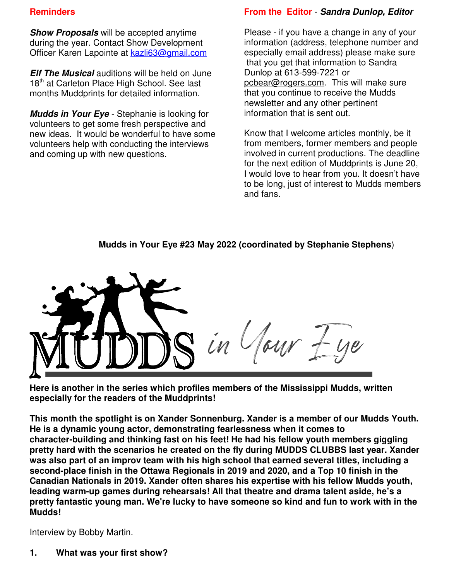#### **Reminders**

**Show Proposals** will be accepted anytime during the year. Contact Show Development Officer Karen Lapointe at kazli63@gmail.com

**Elf The Musical** auditions will be held on June 18<sup>th</sup> at Carleton Place High School. See last months Muddprints for detailed information.

**Mudds in Your Eye** - Stephanie is looking for volunteers to get some fresh perspective and new ideas. It would be wonderful to have some volunteers help with conducting the interviews and coming up with new questions.

#### **From the Editor** - **Sandra Dunlop, Editor**

Please - if you have a change in any of your information (address, telephone number and especially email address) please make sure that you get that information to Sandra Dunlop at 613-599-7221 or pcbear@rogers.com. This will make sure that you continue to receive the Mudds newsletter and any other pertinent information that is sent out.

Know that I welcome articles monthly, be it from members, former members and people involved in current productions. The deadline for the next edition of Muddprints is June 20, I would love to hear from you. It doesn't have to be long, just of interest to Mudds members and fans.

# **Mudds in Your Eye #23 May 2022 (coordinated by Stephanie Stephens**)



**Here is another in the series which profiles members of the Mississippi Mudds, written especially for the readers of the Muddprints!**

**This month the spotlight is on Xander Sonnenburg. Xander is a member of our Mudds Youth. He is a dynamic young actor, demonstrating fearlessness when it comes to character-building and thinking fast on his feet! He had his fellow youth members giggling pretty hard with the scenarios he created on the fly during MUDDS CLUBBS last year. Xander was also part of an improv team with his high school that earned several titles, including a second-place finish in the Ottawa Regionals in 2019 and 2020, and a Top 10 finish in the Canadian Nationals in 2019. Xander often shares his expertise with his fellow Mudds youth, leading warm-up games during rehearsals! All that theatre and drama talent aside, he's a pretty fantastic young man. We're lucky to have someone so kind and fun to work with in the Mudds!**

Interview by Bobby Martin.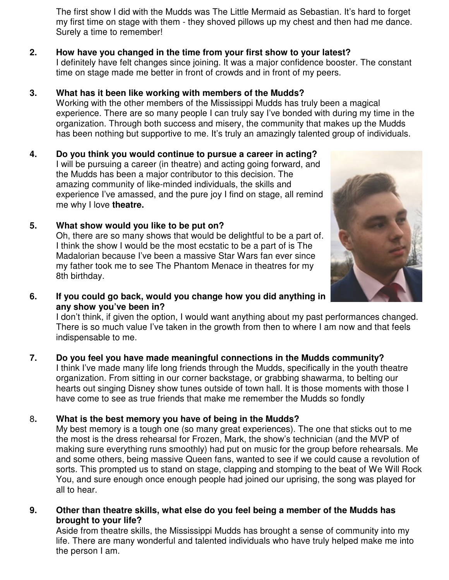The first show I did with the Mudds was The Little Mermaid as Sebastian. It's hard to forget my first time on stage with them - they shoved pillows up my chest and then had me dance. Surely a time to remember!

#### **2. How have you changed in the time from your first show to your latest?**

I definitely have felt changes since joining. It was a major confidence booster. The constant time on stage made me better in front of crowds and in front of my peers.

#### **3. What has it been like working with members of the Mudds?**

Working with the other members of the Mississippi Mudds has truly been a magical experience. There are so many people I can truly say I've bonded with during my time in the organization. Through both success and misery, the community that makes up the Mudds has been nothing but supportive to me. It's truly an amazingly talented group of individuals.

#### **4. Do you think you would continue to pursue a career in acting?** I will be pursuing a career (in theatre) and acting going forward, and

the Mudds has been a major contributor to this decision. The amazing community of like-minded individuals, the skills and experience I've amassed, and the pure joy I find on stage, all remind me why I love **theatre.**

# **5. What show would you like to be put on?**

Oh, there are so many shows that would be delightful to be a part of. I think the show I would be the most ecstatic to be a part of is The Madalorian because I've been a massive Star Wars fan ever since my father took me to see The Phantom Menace in theatres for my 8th birthday.



**6. If you could go back, would you change how you did anything in any show you've been in?**

I don't think, if given the option, I would want anything about my past performances changed. There is so much value I've taken in the growth from then to where I am now and that feels indispensable to me.

# **7. Do you feel you have made meaningful connections in the Mudds community?**

I think I've made many life long friends through the Mudds, specifically in the youth theatre organization. From sitting in our corner backstage, or grabbing shawarma, to belting our hearts out singing Disney show tunes outside of town hall. It is those moments with those I have come to see as true friends that make me remember the Mudds so fondly

#### 8**. What is the best memory you have of being in the Mudds?**

My best memory is a tough one (so many great experiences). The one that sticks out to me the most is the dress rehearsal for Frozen, Mark, the show's technician (and the MVP of making sure everything runs smoothly) had put on music for the group before rehearsals. Me and some others, being massive Queen fans, wanted to see if we could cause a revolution of sorts. This prompted us to stand on stage, clapping and stomping to the beat of We Will Rock You, and sure enough once enough people had joined our uprising, the song was played for all to hear.

**9. Other than theatre skills, what else do you feel being a member of the Mudds has brought to your life?**

Aside from theatre skills, the Mississippi Mudds has brought a sense of community into my life. There are many wonderful and talented individuals who have truly helped make me into the person I am.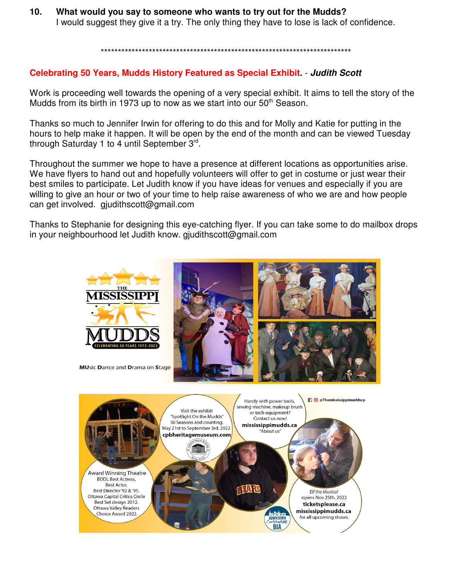**10. What would you say to someone who wants to try out for the Mudds?** I would suggest they give it a try. The only thing they have to lose is lack of confidence.

\*\*\*\*\*\*\*\*\*\*\*\*\*\*\*\*\*\*\*\*\*\*\*\*\*\*\*\*\*\*\*\*\*\*\*\*\*\*\*\*\*\*\*\*\*\*\*\*\*\*\*\*\*\*\*\*\*\*\*\*\*\*\*\*\*\*\*\*\*\*\*\*\*

#### **Celebrating 50 Years, Mudds History Featured as Special Exhibit.** - **Judith Scott**

Work is proceeding well towards the opening of a very special exhibit. It aims to tell the story of the Mudds from its birth in 1973 up to now as we start into our  $50<sup>th</sup>$  Season.

Thanks so much to Jennifer Irwin for offering to do this and for Molly and Katie for putting in the hours to help make it happen. It will be open by the end of the month and can be viewed Tuesday through Saturday 1 to 4 until September 3rd.

Throughout the summer we hope to have a presence at different locations as opportunities arise. We have flyers to hand out and hopefully volunteers will offer to get in costume or just wear their best smiles to participate. Let Judith know if you have ideas for venues and especially if you are willing to give an hour or two of your time to help raise awareness of who we are and how people can get involved. gjudithscott@gmail.com

Thanks to Stephanie for designing this eye-catching flyer. If you can take some to do mailbox drops in your neighbourhood let Judith know. gjudithscott@gmail.com

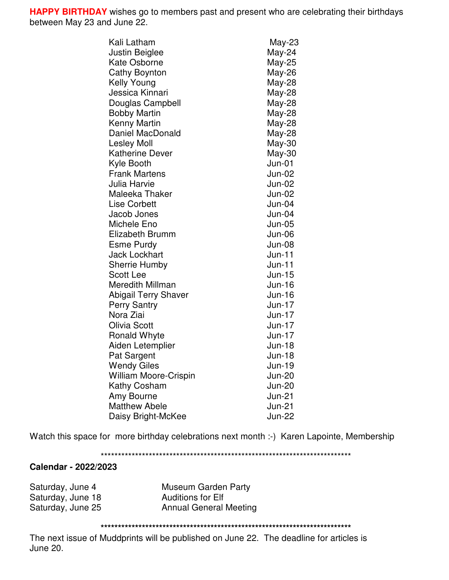**HAPPY BIRTHDAY** wishes go to members past and present who are celebrating their birthdays between May 23 and June 22.

| Kali Latham                  | May-23        |
|------------------------------|---------------|
| Justin Beiglee               | May-24        |
| <b>Kate Osborne</b>          | May-25        |
| Cathy Boynton                | May-26        |
| Kelly Young                  | May-28        |
| Jessica Kinnari              | May-28        |
| Douglas Campbell             | May-28        |
| <b>Bobby Martin</b>          | May-28        |
| Kenny Martin                 | May-28        |
| <b>Daniel MacDonald</b>      | May-28        |
| <b>Lesley Moll</b>           | May-30        |
| Katherine Dever              | May-30        |
| Kyle Booth                   | $Jun-01$      |
| <b>Frank Martens</b>         | <b>Jun-02</b> |
| Julia Harvie                 | <b>Jun-02</b> |
| Maleeka Thaker               | <b>Jun-02</b> |
| <b>Lise Corbett</b>          | $Jun-04$      |
| Jacob Jones                  | $Jun-04$      |
| Michele Eno                  | $Jun-05$      |
| <b>Elizabeth Brumm</b>       | <b>Jun-06</b> |
| <b>Esme Purdy</b>            | $Jun-08$      |
| <b>Jack Lockhart</b>         | $Jun-11$      |
| <b>Sherrie Humby</b>         | $Jun-11$      |
| <b>Scott Lee</b>             | <b>Jun-15</b> |
| Meredith Millman             | <b>Jun-16</b> |
| <b>Abigail Terry Shaver</b>  | <b>Jun-16</b> |
| <b>Perry Santry</b>          | $Jun-17$      |
| Nora Ziai                    | $Jun-17$      |
| <b>Olivia Scott</b>          | <b>Jun-17</b> |
| <b>Ronald Whyte</b>          | Jun-17        |
| Aiden Letemplier             | <b>Jun-18</b> |
| Pat Sargent                  | <b>Jun-18</b> |
| <b>Wendy Giles</b>           | Jun-19        |
| <b>William Moore-Crispin</b> | <b>Jun-20</b> |
| Kathy Cosham                 | <b>Jun-20</b> |
| Amy Bourne                   | <b>Jun-21</b> |
| <b>Matthew Abele</b>         | $Jun-21$      |
| Daisy Bright-McKee           | <b>Jun-22</b> |

Watch this space for more birthday celebrations next month :-) Karen Lapointe, Membership

\*\*\*\*\*\*\*\*\*\*\*\*\*\*\*\*\*\*\*\*\*\*\*\*\*\*\*\*\*\*\*\*\*\*\*\*\*\*\*\*\*\*\*\*\*\*\*\*\*\*\*\*\*\*\*\*\*\*\*\*\*\*\*\*\*\*\*\*\*\*\*\*\*

#### **Calendar - 2022/2023**

Saturday, June 18 Manuel Auditions for Elf

Saturday, June 4 Museum Garden Party Saturday, June 25 **Annual General Meeting** 

**\*\*\*\*\*\*\*\*\*\*\*\*\*\*\*\*\*\*\*\*\*\*\*\*\*\*\*\*\*\*\*\*\*\*\*\*\*\*\*\*\*\*\*\*\*\*\*\*\*\*\*\*\*\*\*\*\*\*\*\*\*\*\*\*\*\*\*\*\*\*\*\*\***

The next issue of Muddprints will be published on June 22. The deadline for articles is June 20.